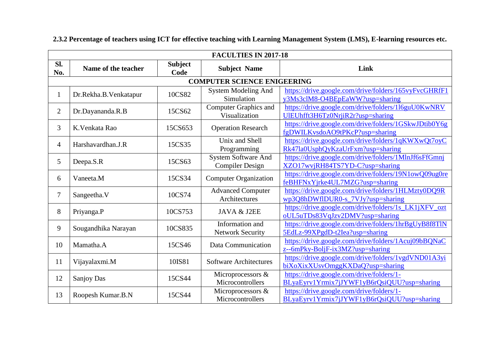|                | <b>FACULTIES IN 2017-18</b> |                        |                                               |                                                                                          |  |  |  |
|----------------|-----------------------------|------------------------|-----------------------------------------------|------------------------------------------------------------------------------------------|--|--|--|
| Sl.<br>No.     | Name of the teacher         | <b>Subject</b><br>Code | <b>Subject Name</b>                           | Link                                                                                     |  |  |  |
|                |                             |                        | <b>COMPUTER SCIENCE ENIGEERING</b>            |                                                                                          |  |  |  |
| $\mathbf{1}$   | Dr.Rekha.B.Venkatapur       | 10CS82                 | <b>System Modeling And</b><br>Simulation      | https://drive.google.com/drive/folders/165vyFvcGHRfF1<br>y3Ms3clM8-O4BEpEaWW?usp=sharing |  |  |  |
| $\overline{2}$ | Dr.Dayananda.R.B            | 15CS62                 | <b>Computer Graphics and</b><br>Visualization | https://drive.google.com/drive/folders/116guU0KwNRV<br>UIEUhfft3H6Tz0NrjiR2r?usp=sharing |  |  |  |
| 3              | K. Venkata Rao              | 15CS653                | <b>Operation Research</b>                     | https://drive.google.com/drive/folders/1GSkwJDtib0Y6g<br>fgDWILKvsdoAO9tPKcP?usp=sharing |  |  |  |
| 4              | Harshavardhan.J.R           | 15CS35                 | Unix and Shell<br>Programming                 | https://drive.google.com/drive/folders/1qKWXwQt7oyC<br>Rk47la0UsphQyKzaUrFxm?usp=sharing |  |  |  |
| 5              | Deepa.S.R                   | 15CS63                 | System Software And<br><b>Compiler Design</b> | https://drive.google.com/drive/folders/1MlnJf6sFfGmnj<br>XZO17wvjRH84TS7YD-C?usp=sharing |  |  |  |
| 6              | Vaneeta.M                   | 15CS34                 | <b>Computer Organization</b>                  | https://drive.google.com/drive/folders/19N1owQ09ug0re<br>feBHFNxYjrke4UL7MZG?usp=sharing |  |  |  |
| 7              | Sangeetha.V                 | 10CS74                 | <b>Advanced Computer</b><br>Architectures     | https://drive.google.com/drive/folders/1HLMzty0DQ9R<br>wp3Q8hDWflDUR0-s_7VJy?usp=sharing |  |  |  |
| 8              | Priyanga.P                  | 10CS753                | JAVA & J2EE                                   | https://drive.google.com/drive/folders/1s LK1jXFV ozt<br>oUL5uTDs83VqJzv2DMV?usp=sharing |  |  |  |
| 9              | Sougandhika Narayan         | 10CS835                | Information and<br><b>Network Security</b>    | https://drive.google.com/drive/folders/1hrBgUyB8f8TlN<br>5EdLz-99XPgdD-t2Iea?usp=sharing |  |  |  |
| 10             | Mamatha.A                   | 15CS46                 | Data Communication                            | https://drive.google.com/drive/folders/1Acuj09bBQNaC<br>z--6mPky-BoljF-ix3MZ?usp=sharing |  |  |  |
| 11             | Vijayalaxmi.M               | 10IS81                 | <b>Software Architectures</b>                 | https://drive.google.com/drive/folders/1vgdVND01A3yi<br>biXoXixXUsvOmggKXDaQ?usp=sharing |  |  |  |
| 12             | Sanjoy Das                  | 15CS44                 | Microprocessors &<br>Microcontrollers         | https://drive.google.com/drive/folders/1-<br>BLyaEyrv1Yrmix7jJYWF1yB6rQsiQUU?usp=sharing |  |  |  |
| 13             | Roopesh Kumar.B.N           | 15CS44                 | Microprocessors &<br>Microcontrollers         | https://drive.google.com/drive/folders/1-<br>BLyaEyrv1Yrmix7jJYWF1yB6rQsiQUU?usp=sharing |  |  |  |

## **2.3.2 Percentage of teachers using ICT for effective teaching with Learning Management System (LMS), E-learning resources etc.**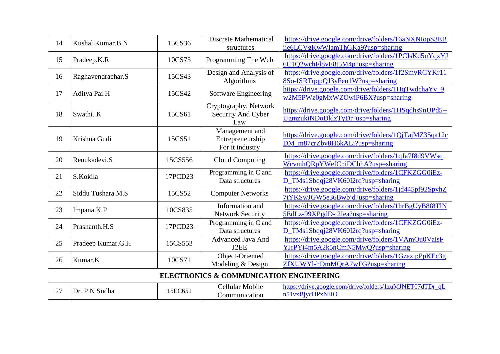| 14 | Kushal Kumar.B.N  | 15CS36  | <b>Discrete Mathematical</b><br>structures            | https://drive.google.com/drive/folders/16aNXNIopS3EB<br>iie6LCVgKwWlamThGKa9?usp=sharing |
|----|-------------------|---------|-------------------------------------------------------|------------------------------------------------------------------------------------------|
| 15 | Pradeep.K.R       | 10CS73  | Programming The Web                                   | https://drive.google.com/drive/folders/1PCIsKd5uYqxYJ<br>6C1Q2wchFl8yE8t5M4p?usp=sharing |
| 16 | Raghavendrachar.S | 15CS43  | Design and Analysis of<br>Algorithms                  | https://drive.google.com/drive/folders/1f2SmvRCYKr11<br>8So-fSRTqqpQJ3yFen1W?usp=sharing |
| 17 | Aditya Pai.H      | 15CS42  | Software Engineering                                  | https://drive.google.com/drive/folders/1HqTwdchaYv_9<br>w2M5PWz0gMxWZOwiP6BX?usp=sharing |
| 18 | Swathi. K         | 15CS61  | Cryptography, Network<br>Security And Cyber<br>Law    | https://drive.google.com/drive/folders/1HSqdhs9nUPd5--<br>UgmzukiNDoDklzTyDr?usp=sharing |
| 19 | Krishna Gudi      | 15CS51  | Management and<br>Entrepreneurship<br>For it industry | https://drive.google.com/drive/folders/1QjTajMZ35qa12c<br>DM_m87crZbv8H6kALi?usp=sharing |
| 20 | Renukadevi.S      | 15CS556 | Cloud Computing                                       | https://drive.google.com/drive/folders/1qJa7f8d9VWsq<br>WcvmhQRpYWefCniDCbhA?usp=sharing |
| 21 | S.Kokila          | 17PCD23 | Programming in C and<br>Data structures               | https://drive.google.com/drive/folders/1CFKZGG0iEz-<br>D_TMs1Sbqqj28VK60I2rq?usp=sharing |
| 22 | Siddu Tushara.M.S | 15CS52  | <b>Computer Networks</b>                              | https://drive.google.com/drive/folders/1jd445pf92SpvhZ<br>7tYKSwJGW5e36Bwbjd?usp=sharing |
| 23 | Impana.K.P        | 10CS835 | Information and<br><b>Network Security</b>            | https://drive.google.com/drive/folders/1hrBgUyB8f8TlN<br>5EdLz-99XPgdD-t2Iea?usp=sharing |
| 24 | Prashanth.H.S     | 17PCD23 | Programming in C and<br>Data structures               | https://drive.google.com/drive/folders/1CFKZGG0iEz-<br>D_TMs1Sbqqj28VK60I2rq?usp=sharing |
| 25 | Pradeep Kumar.G.H | 15CS553 | <b>Advanced Java And</b><br>J2EE                      | https://drive.google.com/drive/folders/1VAmOu0VaisF<br>YJrPYi4m5A2k5nCmN5MwQ?usp=sharing |
| 26 | Kumar.K           | 10CS71  | Object-Oriented<br>Modeling & Design                  | https://drive.google.com/drive/folders/1GzazipPpKEc3g<br>ZfXUWYl-hDmMQrA7wFG?usp=sharing |
|    |                   |         | <b>ELECTRONICS &amp; COMMUNICATION ENGINEERING</b>    |                                                                                          |
| 27 | Dr. P.N Sudha     | 15EC651 | <b>Cellular Mobile</b><br>Communication               | https://drive.google.com/drive/folders/1zuMJNET07dTDr_qL<br>n51vxBjycHPxNIJO             |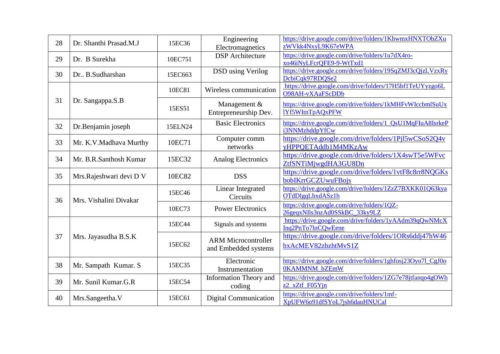| 28 | Dr. Shanthi Prasad.M.J  | 15EC36  | Engineering<br>Electromagnetics                    | https://drive.google.com/drive/folders/1KhwmxHNXTObZXu<br>zWVkk4NxyL9K67eWPA |
|----|-------------------------|---------|----------------------------------------------------|------------------------------------------------------------------------------|
| 29 | Dr. B Surekha           | 10EC751 | <b>DSP</b> Architecture                            | https://drive.google.com/drive/folders/1u7dX4ro-<br>xo46iNyLFcrQFE9-9-WtTxd1 |
| 30 | Dr., B.Sudharshan       | 15EC663 | <b>DSD</b> using Verilog                           | https://drive.google.com/drive/folders/19SqZMJ3cQjzLVzxRy<br>DcbiCqk97RDQSe2 |
|    |                         | 10EC81  | Wireless communication                             | https://drive.google.com/drive/folders/17H5bf1TeUYyzgo6L<br>O98AH-vXAaFScDDb |
| 31 | Dr. Sangappa.S.B        | 15ES51  | Management $&$<br>Entrepreneurship Dev.            | https://drive.google.com/drive/folders/1kMHFvWIccbmlSuUx<br>lYf5WItnTpAQxPFW |
| 32 | Dr.Benjamin joseph      | 15ELN24 | <b>Basic Electronics</b>                           | https://drive.google.com/drive/folders/1 QsU1MqFIuA8IsrkeP<br>i3NNMzhddpYfCw |
| 33 | Mr. K.V.Madhava Murthy  | 10EC71  | Computer comm<br>networks                          | https://drive.google.com/drive/folders/1Pjl5wCSoS2Q4v<br>yHPPQETAddb1M4MKzAw |
| 34 | Mr. B.R.Santhosh Kumar  | 15EC32  | <b>Analog Electronics</b>                          | https://drive.google.com/drive/folders/1X4swT5e5WFvc<br>ZtfSNTiMjwgdHA3GU8Dn |
| 35 | Mrs.Rajeshwari devi D V | 10EC82  | <b>DSS</b>                                         | https://drive.google.com/drive/folders/1vtF8c8rr8NQGKs<br>bobIKrrGCZUwuFBojs |
| 36 | Mrs. Vishalini Divakar  | 15EC46  | Linear Integrated<br>Circuits                      | https://drive.google.com/drive/folders/1ZzZ7BXKK01Q63kya<br>OTdDlgqLbxdASz1h |
|    |                         | 10EC73  | <b>Power Electronics</b>                           | https://drive.google.com/drive/folders/1QZ-<br>26geqxNIls3nzAd0SSkBC_33ky9LZ |
|    |                         | 15EC44  | Signals and systems                                | https://drive.google.com/drive/folders/1yAAdm39qQwNMcX<br>Inq2PnTo7lnCQwEene |
| 37 | Mrs. Jayasudha B.S.K    | 15EC62  | <b>ARM Microcontroller</b><br>and Embedded systems | https://drive.google.com/drive/folders/1ORs6ddj47hW46<br>hxAcMEV82zbzhtMvS1Z |
| 38 | Mr. Sampath Kumar. S    | 15EC35  | Electronic<br>Instrumentation                      | https://drive.google.com/drive/folders/1ghfosj23Oyo7l_CgJ0o<br>0KAMMNM bZEmW |
| 39 | Mr. Sunil Kumar.G.R     | 15EC54  | <b>Information Theory and</b><br>coding            | https://drive.google.com/drive/folders/1ZG7e78jtfanqo4gOWh<br>z2_xZtf_F05Yjn |
| 40 | Mrs.Sangeetha.V         | 15EC61  | <b>Digital Communication</b>                       | https://drive.google.com/drive/folders/1mf-<br>XpUFW6091dfSYoL7jsh6dauHNUCal |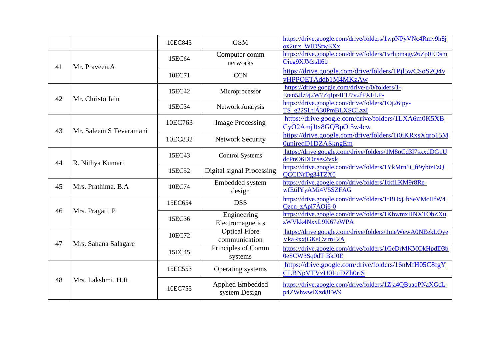|    |                                                                                                                          | 10EC843 | <b>GSM</b>                                                                                                                                                                                                                                                                                                                                                    | https://drive.google.com/drive/folders/1wpNPyVNc4Rmv9h8j<br>ox2uix_WIDSrwEXx     |
|----|--------------------------------------------------------------------------------------------------------------------------|---------|---------------------------------------------------------------------------------------------------------------------------------------------------------------------------------------------------------------------------------------------------------------------------------------------------------------------------------------------------------------|----------------------------------------------------------------------------------|
|    |                                                                                                                          | 15EC64  | Computer comm<br>networks                                                                                                                                                                                                                                                                                                                                     | https://drive.google.com/drive/folders/1vrlipmagy26Zp0EDsm<br>Oieg9XJMssIl6b     |
|    |                                                                                                                          | 10EC71  | <b>CCN</b>                                                                                                                                                                                                                                                                                                                                                    | https://drive.google.com/drive/folders/1Pjl5wCSoS2Q4v<br>yHPPQETAddb1M4MKzAw     |
|    | Mr. Christo Jain<br>Mr. Saleem S Tevaramani                                                                              | 15EC42  | Microprocessor                                                                                                                                                                                                                                                                                                                                                | https://drive.google.com/drive/u/0/folders/1-<br>Etan5Jlz9j2W7ZqIpr4EU7v2fPXFLP- |
|    |                                                                                                                          | 15EC34  | <b>Network Analysis</b><br><b>Image Processing</b><br><b>Network Security</b><br><b>Control Systems</b><br>Digital signal Processing<br>Embedded system<br>design<br><b>DSS</b><br>Engineering<br>Electromagnetics<br><b>Optical Fibre</b><br>communication<br>Principles of Comm<br>systems<br>Operating systems<br><b>Applied Embedded</b><br>system Design | https://drive.google.com/drive/folders/1Oj26ipy-<br>TS_g22SLtlA30PmBLXSCLzzI     |
|    |                                                                                                                          | 10EC763 |                                                                                                                                                                                                                                                                                                                                                               | https://drive.google.com/drive/folders/1LXA6m0K5XB<br>CyO2AmjJtx8GQBpOt5w4cw     |
|    | Mr. Praveen.A<br>R. Nithya Kumari<br>Mrs. Prathima. B.A<br>Mrs. Pragati. P<br>Mrs. Sahana Salagare<br>Mrs. Lakshmi. H.R. | 10EC832 |                                                                                                                                                                                                                                                                                                                                                               | https://drive.google.com/drive/folders/1i0iKRxsXqro15M<br>0uniredD1DZASkngEm     |
|    | 41<br>42<br>43<br>44<br>46<br>47<br>48                                                                                   | 15EC43  |                                                                                                                                                                                                                                                                                                                                                               | https://drive.google.com/drive/folders/1M8oCd3I7sxxdDG1U<br>dcPnO6DDnses2vxk     |
|    |                                                                                                                          | 15EC52  |                                                                                                                                                                                                                                                                                                                                                               | https://drive.google.com/drive/folders/1YkMrn1i_ft9ybizFzQ<br>QCCINrDg34TZX0     |
| 45 |                                                                                                                          | 10EC74  |                                                                                                                                                                                                                                                                                                                                                               | https://drive.google.com/drive/folders/1tkfllKM9r8Re-<br>wfEtilYyAMi4V5SZFAG     |
|    |                                                                                                                          | 15EC654 |                                                                                                                                                                                                                                                                                                                                                               | https://drive.google.com/drive/folders/1rBOxjJbSeVMcHfW4<br>Qzcn_zApi7AOj6-0     |
|    |                                                                                                                          | 15EC36  |                                                                                                                                                                                                                                                                                                                                                               | https://drive.google.com/drive/folders/1KhwmxHNXTObZXu<br>zWVkk4NxyL9K67eWPA     |
|    |                                                                                                                          | 10EC72  |                                                                                                                                                                                                                                                                                                                                                               | https://drive.google.com/drive/folders/1meWewA0NEekLOye<br>VkaRxxjGKsCvimF2A     |
|    |                                                                                                                          | 15EC45  |                                                                                                                                                                                                                                                                                                                                                               | https://drive.google.com/drive/folders/1GeDrMKMQkHpdD3b<br>0eSCW3Sq0dTjBkJ0E     |
|    |                                                                                                                          | 15EC553 |                                                                                                                                                                                                                                                                                                                                                               | https://drive.google.com/drive/folders/16nMfH05C8fgY<br>CLBNpVTVzU0LuDZh0riS     |
|    |                                                                                                                          | 10EC755 |                                                                                                                                                                                                                                                                                                                                                               | https://drive.google.com/drive/folders/1Zja4QBuaqPNaXGcL-<br>p4ZWhwwiXzd8FW9     |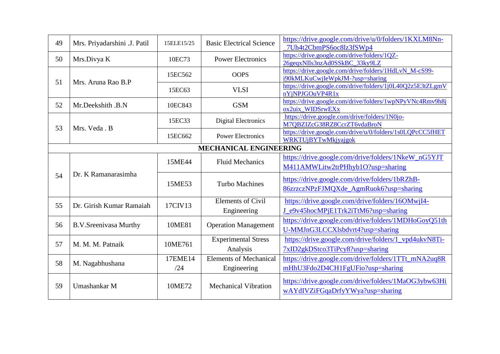| 49 | Mrs. Priyadarshini .J. Patil  | 15ELE15/25     | <b>Basic Electrical Science</b>              | https://drive.google.com/drive/u/0/folders/1KXLM8Nn-<br>7Uh4t2CbmPS6oc8lz3fSWp4          |  |  |  |
|----|-------------------------------|----------------|----------------------------------------------|------------------------------------------------------------------------------------------|--|--|--|
| 50 | Mrs.Divya K                   | 10EC73         | <b>Power Electronics</b>                     | https://drive.google.com/drive/folders/1QZ-<br>26gegxNIls3nzAd0SSkBC 33ky9LZ             |  |  |  |
| 51 |                               | 15EC562        | <b>OOPS</b>                                  | https://drive.google.com/drive/folders/1HdLvN_M-cS99-<br>i90kMLKuCwjIeWpkJM-?usp=sharing |  |  |  |
|    | Mrs. Aruna Rao B.P            | 15EC63         | <b>VLSI</b>                                  | https://drive.google.com/drive/folders/1j0L40Q2z5E3tZLgmV<br>nYjNPJGOuVP4R1x             |  |  |  |
| 52 | Mr.Deekshith .B.N             | 10EC843        | <b>GSM</b>                                   | https://drive.google.com/drive/folders/1wpNPyVNc4Rmv9h8j<br>ox2uix_WIDSrwEXx             |  |  |  |
| 53 | Mrs. Veda . B                 | 15EC33         | <b>Digital Electronics</b>                   | https://drive.google.com/drive/folders/1N0jo-<br>M7QBZIZcG38RZ8CcrZT6vdaBroN             |  |  |  |
|    |                               | 15EC662        | <b>Power Electronics</b>                     | https://drive.google.com/drive/u/0/folders/1s0LQPcCC5fHET<br>WRKTUjBYTwMkjyajgok         |  |  |  |
|    | <b>MECHANICAL ENGINEERING</b> |                |                                              |                                                                                          |  |  |  |
|    | Dr. K Ramanarasimha           | 15ME44         | <b>Fluid Mechanics</b>                       | https://drive.google.com/drive/folders/1NkeW_nG5YJT<br>M411AMWLitw2trPHhyb1O?usp=sharing |  |  |  |
| 54 |                               | 15ME53         | <b>Turbo Machines</b>                        | https://drive.google.com/drive/folders/1bRZhB-<br>86zrzczNPzFJMQXde_AgmRuok6?usp=sharing |  |  |  |
| 55 | Dr. Girish Kumar Ramaiah      | 17CIV13        | <b>Elements of Civil</b><br>Engineering      | https://drive.google.com/drive/folders/16OMwjI4-<br>J_e9v45hocMPjE1Trk2iTtM6?usp=sharing |  |  |  |
| 56 | <b>B.V.Sreenivasa Murthy</b>  | 10ME81         | <b>Operation Management</b>                  | https://drive.google.com/drive/folders/1MDHoGoyQ51th<br>U-MMJnG3LCCXlsbdvrt4?usp=sharing |  |  |  |
| 57 | M. M. M. Patnaik              | 10ME761        | <b>Experimental Stress</b><br>Analysis       | https://drive.google.com/drive/folders/1_vpd4ukvN8Ti-<br>7xID2gkDStco3TiPcy8?usp=sharing |  |  |  |
| 58 | M. Nagabhushana               | 17EME14<br>/24 | <b>Elements of Mechanical</b><br>Engineering | https://drive.google.com/drive/folders/1TTt_mNA2uq8R<br>mHhU3Fdo2D4CH1FgUFio?usp=sharing |  |  |  |
| 59 | Umashankar M                  | 10ME72         | <b>Mechanical Vibration</b>                  | https://drive.google.com/drive/folders/1MaOG3ybw63Hi<br>wAYdIVZiFGqaDrfyYWya?usp=sharing |  |  |  |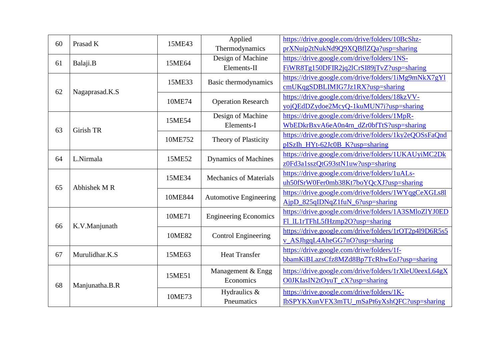| 60 | Prasad K            | 15ME43  | Applied<br>Thermodynamics                                                                                                                                                                                                                                  | https://drive.google.com/drive/folders/10BcShz-<br>prXNuip2tNukNd9Q9XQBflZQa?usp=sharing |
|----|---------------------|---------|------------------------------------------------------------------------------------------------------------------------------------------------------------------------------------------------------------------------------------------------------------|------------------------------------------------------------------------------------------|
| 61 | Balaji.B            | 15ME64  | Design of Machine<br>Elements-II                                                                                                                                                                                                                           | https://drive.google.com/drive/folders/1NS-<br>FiWR8Tg150DFIR2jq2lCrSI89jTvZ?usp=sharing |
|    |                     | 15ME33  | Basic thermodynamics                                                                                                                                                                                                                                       | https://drive.google.com/drive/folders/1iMg9mNkX7gYl<br>cmUKqgSDBLIMIG7Jz1RX?usp=sharing |
| 62 | Nagaprasad.K.S      | 10ME74  | <b>Operation Research</b><br>Design of Machine<br>Elements-I<br><b>Theory of Plasticity</b><br><b>Dynamics of Machines</b><br><b>Mechanics of Materials</b><br><b>Automotive Engineering</b><br><b>Engineering Economics</b><br><b>Control Engineering</b> | https://drive.google.com/drive/folders/18kzVV-<br>yojQEdDZydoe2McyQ-1kuMUN7i?usp=sharing |
| 63 | Girish TR           | 15ME54  |                                                                                                                                                                                                                                                            | https://drive.google.com/drive/folders/1MpR-<br>WbEDkrBxvA6eA0n4rn_dZr0bfTtS?usp=sharing |
|    |                     | 10ME752 |                                                                                                                                                                                                                                                            | https://drive.google.com/drive/folders/1ky2eQOSsFaQnd<br>pISzIh_HYt-62Jc0B_K?usp=sharing |
| 64 | L.Nirmala           | 15ME52  |                                                                                                                                                                                                                                                            | https://drive.google.com/drive/folders/1UKAUyiMC2Dk<br>z0Fd3a1sszQtG93stN1uw?usp=sharing |
| 65 | Abhishek MR         | 15ME34  |                                                                                                                                                                                                                                                            | https://drive.google.com/drive/folders/1uALs-<br>uh50fSrW0Fer0mb38Kt7boYQcXJ?usp=sharing |
|    |                     | 10ME844 |                                                                                                                                                                                                                                                            | https://drive.google.com/drive/folders/1WYqgCeXGLs81<br>AjpD_825qIDNqZ1fuN_6?usp=sharing |
|    | K.V.Manjunath<br>66 | 10ME71  |                                                                                                                                                                                                                                                            | https://drive.google.com/drive/folders/1A3SMloZlYJ0ED<br>Fl_IL1rTFhL5fHzmp2O?usp=sharing |
|    |                     | 10ME82  |                                                                                                                                                                                                                                                            | https://drive.google.com/drive/folders/1rOT2p4l9D6R5s5<br>v_ASJhgqL4AheGG7nO?usp=sharing |
| 67 | Murulidhar.K.S      | 15ME63  | <b>Heat Transfer</b>                                                                                                                                                                                                                                       | https://drive.google.com/drive/folders/1f-<br>bbamKiBLazsCfz8MZd8Bp7TcRhwEoJ?usp=sharing |
| 68 |                     | 15ME51  | Management & Engg<br>Economics                                                                                                                                                                                                                             | https://drive.google.com/drive/folders/1rXleU0eexL64gX<br>O0JKIasIN2tOyuT_cX?usp=sharing |
|    | Manjunatha.B.R      | 10ME73  | Hydraulics &<br>Pneumatics                                                                                                                                                                                                                                 | https://drive.google.com/drive/folders/1K-<br>IbSPYKXunVFX3mTU_mSaPt6yXshQFC?usp=sharing |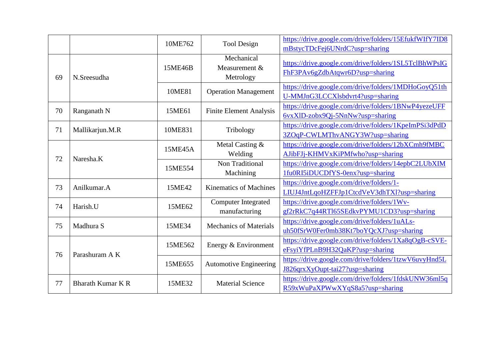|    |                          | 10ME762 | <b>Tool Design</b>                       | https://drive.google.com/drive/folders/15EfukfWIfY7ID8<br>mBstycTDcFej6UNrdC?usp=sharing |
|----|--------------------------|---------|------------------------------------------|------------------------------------------------------------------------------------------|
| 69 | N.Sreesudha              | 15ME46B | Mechanical<br>Measurement &<br>Metrology | https://drive.google.com/drive/folders/1SL5TclBhWPsIG<br>FhF3PAv6gZdbAtqwr6D?usp=sharing |
|    |                          | 10ME81  | <b>Operation Management</b>              | https://drive.google.com/drive/folders/1MDHoGoyQ51th<br>U-MMJnG3LCCXlsbdvrt4?usp=sharing |
| 70 | Ranganath N              | 15ME61  | <b>Finite Element Analysis</b>           | https://drive.google.com/drive/folders/1BNwP4yezeUFF<br>6vxXlD-zobx9Qj-5NnNw?usp=sharing |
| 71 | Mallikarjun.M.R          | 10ME831 | Tribology                                | https://drive.google.com/drive/folders/1KpeImPSi3dPdD<br>3ZOqP-CWLMThvANGY3W?usp=sharing |
|    | Naresha.K                | 15ME45A | Metal Casting &<br>Welding               | https://drive.google.com/drive/folders/12bXCmh9fMBC<br>AJibFJj-KHMVxKiPMfwho?usp=sharing |
| 72 |                          | 15ME554 | Non Traditional<br>Machining             | https://drive.google.com/drive/folders/14epbC2LUbXIM<br>1fu0RI5iDUCDfYS-0enx?usp=sharing |
| 73 | Anilkumar.A              | 15ME42  | <b>Kinematics of Machines</b>            | https://drive.google.com/drive/folders/1-<br>LIUJ4JntLqoHZFFJp1CtcdVeV3dhTXl?usp=sharing |
| 74 | Harish.U                 | 15ME62  | Computer Integrated<br>manufacturing     | https://drive.google.com/drive/folders/1Wv-<br>gf2rRkC7q44RTl65SEdkvPYMU1CD3?usp=sharing |
| 75 | Madhura S                | 15ME34  | <b>Mechanics of Materials</b>            | https://drive.google.com/drive/folders/1uALs-<br>uh50fSrW0Fer0mb38Kt7boYQcXJ?usp=sharing |
| 76 | Parashuram A K           | 15ME562 | Energy & Environment                     | https://drive.google.com/drive/folders/1Xa8qOgB-cSVE-<br>eFsyiYfPLnB9H32QaKP?usp=sharing |
|    |                          | 15ME655 | <b>Automotive Engineering</b>            | https://drive.google.com/drive/folders/1tzwV6uvyHnd5L<br>J826qrxXyOupt-tai27?usp=sharing |
| 77 | <b>Bharath Kumar K R</b> | 15ME32  | <b>Material Science</b>                  | https://drive.google.com/drive/folders/1fdskUNW36ml5q<br>R59xWuPaXPWwXYqS8a5?usp=sharing |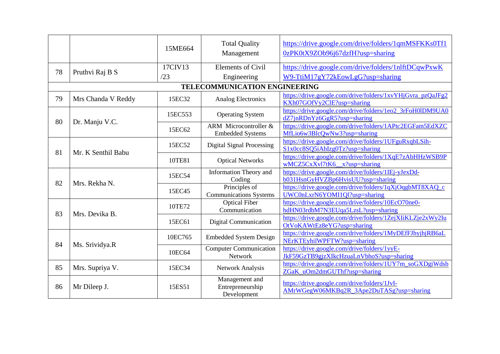|    |                    | 15ME664                                 | <b>Total Quality</b><br>Management                                                       | https://drive.google.com/drive/folders/1qmMSFKKs0Tf1<br>0zPK0tX9ZOb96j67dzfH?usp=sharing    |
|----|--------------------|-----------------------------------------|------------------------------------------------------------------------------------------|---------------------------------------------------------------------------------------------|
| 78 | Pruthvi Raj B S    | 17CIV13                                 | <b>Elements of Civil</b>                                                                 | https://drive.google.com/drive/folders/1nlftDCqwPxwK                                        |
|    |                    | /23                                     | Engineering                                                                              | W9-TtiM17gY72kEowLgG?usp=sharing                                                            |
|    |                    |                                         | TELECOMMUNICATION ENGINEERING                                                            |                                                                                             |
| 79 | Mrs Chanda V Reddy | 15EC32                                  | <b>Analog Electronics</b>                                                                | https://drive.google.com/drive/folders/1xvYHjGvra_pzQaJFg2<br>KXh07GOfVy2ClE?usp=sharing    |
| 80 |                    | 15EC553                                 | <b>Operating System</b>                                                                  | https://drive.google.com/drive/folders/1eo2_3rFoH0lDM9UA0<br>dZ7jnRDnYz6GgR5?usp=sharing    |
|    | Dr. Manju V.C.     | 15EC62                                  | ARM Microcontroller $&$<br><b>Embedded Systems</b><br><b>Digital Signal Processing</b>   | https://drive.google.com/drive/folders/1APtc2EGFam5EdXZC<br>MfLio6w3BlcQwNw3?usp=sharing    |
| 81 | Mr. K Senthil Babu | 15EC52                                  |                                                                                          | https://drive.google.com/drive/folders/1UFguRxqbLSih-<br>S1x0cc8SQ5iAhIzg0Tz?usp=sharing    |
|    |                    | 10TE81                                  | <b>Optical Networks</b>                                                                  | https://drive.google.com/drive/folders/1XqE7zAbHHzWSB9P<br>$wMCZ5CxXv17tK6$ $x?usp=sharing$ |
|    | 15EC54             | <b>Information Theory and</b><br>Coding | https://drive.google.com/drive/folders/1IEj-yJexDd-<br>b031HsnGyHVZBp6HvisUU?usp=sharing |                                                                                             |
| 82 | Mrs. Rekha N.      | 15EC45                                  | Principles of<br><b>Communications Systems</b>                                           | https://drive.google.com/drive/folders/1qXjOqgbMT8XAQ_c<br>UWC0nLxrN6YOMI1Ql?usp=sharing    |
| 83 |                    | 10TE72                                  | <b>Optical Fiber</b><br>Communication                                                    | https://drive.google.com/drive/folders/10EcO70ne0-<br>hdHN03rdbM7N3EUqa5LzsL?usp=sharing    |
|    | Mrs. Devika B.     | 15EC61                                  | Digital Communication                                                                    | https://drive.google.com/drive/folders/1ZejXIiKLZje2xWy2Iu<br>OtVoKAWtEz8eYG?usp=sharing    |
|    |                    | 10EC765                                 | <b>Embedded System Design</b>                                                            | https://drive.google.com/drive/folders/1MyDEfFJhyjhjRB6aL<br>NErKTEyhilWPFTW?usp=sharing    |
| 84 | Ms. Srividya.R     | 10EC64                                  | <b>Computer Communication</b><br><b>Network</b>                                          | https://drive.google.com/drive/folders/1yyE-<br>JkF59GzTB9gjzXIkcHzuaLnVbhoS?usp=sharing    |
| 85 | Mrs. Supriya V.    | 15EC34                                  | <b>Network Analysis</b>                                                                  | https://drive.google.com/drive/folders/1UY7m_soGXDgiWdsb<br>ZGaK_uOm2dmGUThf?usp=sharing    |
| 86 | Mr Dileep J.       | 15ES51                                  | Management and<br>Entrepreneurship<br>Development                                        | https://drive.google.com/drive/folders/1JvI-<br>AMrWGegW06MKBq2R_3Ape2DuTASg?usp=sharing    |